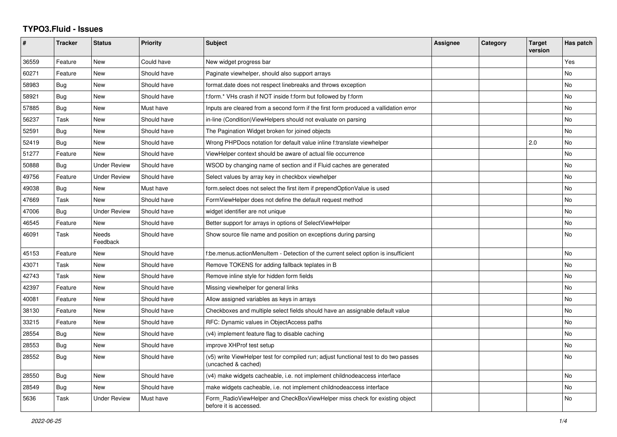## **TYPO3.Fluid - Issues**

| #     | <b>Tracker</b> | <b>Status</b>            | <b>Priority</b> | <b>Subject</b>                                                                                              | <b>Assignee</b> | Category | Target<br>version | Has patch |
|-------|----------------|--------------------------|-----------------|-------------------------------------------------------------------------------------------------------------|-----------------|----------|-------------------|-----------|
| 36559 | Feature        | <b>New</b>               | Could have      | New widget progress bar                                                                                     |                 |          |                   | Yes       |
| 60271 | Feature        | <b>New</b>               | Should have     | Paginate viewhelper, should also support arrays                                                             |                 |          |                   | No        |
| 58983 | Bug            | <b>New</b>               | Should have     | format.date does not respect linebreaks and throws exception                                                |                 |          |                   | No        |
| 58921 | Bug            | <b>New</b>               | Should have     | f:form.* VHs crash if NOT inside f:form but followed by f:form                                              |                 |          |                   | No        |
| 57885 | Bug            | <b>New</b>               | Must have       | Inputs are cleared from a second form if the first form produced a vallidation error                        |                 |          |                   | No        |
| 56237 | Task           | <b>New</b>               | Should have     | in-line (Condition) View Helpers should not evaluate on parsing                                             |                 |          |                   | <b>No</b> |
| 52591 | <b>Bug</b>     | <b>New</b>               | Should have     | The Pagination Widget broken for joined objects                                                             |                 |          |                   | <b>No</b> |
| 52419 | Bug            | <b>New</b>               | Should have     | Wrong PHPDocs notation for default value inline f:translate viewhelper                                      |                 |          | 2.0               | <b>No</b> |
| 51277 | Feature        | <b>New</b>               | Should have     | ViewHelper context should be aware of actual file occurrence                                                |                 |          |                   | No        |
| 50888 | Bug            | <b>Under Review</b>      | Should have     | WSOD by changing name of section and if Fluid caches are generated                                          |                 |          |                   | <b>No</b> |
| 49756 | Feature        | <b>Under Review</b>      | Should have     | Select values by array key in checkbox viewhelper                                                           |                 |          |                   | No        |
| 49038 | <b>Bug</b>     | New                      | Must have       | form select does not select the first item if prependOptionValue is used                                    |                 |          |                   | No        |
| 47669 | Task           | <b>New</b>               | Should have     | FormViewHelper does not define the default request method                                                   |                 |          |                   | No        |
| 47006 | Bug            | <b>Under Review</b>      | Should have     | widget identifier are not unique                                                                            |                 |          |                   | No        |
| 46545 | Feature        | <b>New</b>               | Should have     | Better support for arrays in options of SelectViewHelper                                                    |                 |          |                   | <b>No</b> |
| 46091 | Task           | <b>Needs</b><br>Feedback | Should have     | Show source file name and position on exceptions during parsing                                             |                 |          |                   | <b>No</b> |
| 45153 | Feature        | New                      | Should have     | f:be.menus.actionMenuItem - Detection of the current select option is insufficient                          |                 |          |                   | <b>No</b> |
| 43071 | Task           | <b>New</b>               | Should have     | Remove TOKENS for adding fallback teplates in B                                                             |                 |          |                   | <b>No</b> |
| 42743 | Task           | <b>New</b>               | Should have     | Remove inline style for hidden form fields                                                                  |                 |          |                   | <b>No</b> |
| 42397 | Feature        | <b>New</b>               | Should have     | Missing viewhelper for general links                                                                        |                 |          |                   | <b>No</b> |
| 40081 | Feature        | <b>New</b>               | Should have     | Allow assigned variables as keys in arrays                                                                  |                 |          |                   | No        |
| 38130 | Feature        | New                      | Should have     | Checkboxes and multiple select fields should have an assignable default value                               |                 |          |                   | No        |
| 33215 | Feature        | New                      | Should have     | RFC: Dynamic values in ObjectAccess paths                                                                   |                 |          |                   | No        |
| 28554 | Bug            | New                      | Should have     | (v4) implement feature flag to disable caching                                                              |                 |          |                   | No        |
| 28553 | <b>Bug</b>     | <b>New</b>               | Should have     | improve XHProf test setup                                                                                   |                 |          |                   | <b>No</b> |
| 28552 | <b>Bug</b>     | <b>New</b>               | Should have     | (v5) write ViewHelper test for compiled run; adjust functional test to do two passes<br>(uncached & cached) |                 |          |                   | <b>No</b> |
| 28550 | Bug            | <b>New</b>               | Should have     | (v4) make widgets cacheable, i.e. not implement childnodeaccess interface                                   |                 |          |                   | No        |
| 28549 | Bug            | New                      | Should have     | make widgets cacheable, i.e. not implement childnodeaccess interface                                        |                 |          |                   | No        |
| 5636  | Task           | <b>Under Review</b>      | Must have       | Form_RadioViewHelper and CheckBoxViewHelper miss check for existing object<br>before it is accessed.        |                 |          |                   | No        |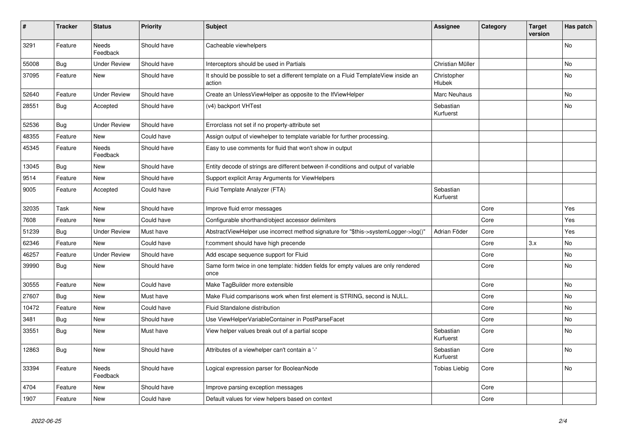| #     | <b>Tracker</b> | <b>Status</b>            | <b>Priority</b> | <b>Subject</b>                                                                                | Assignee               | Category | <b>Target</b><br>version | Has patch |
|-------|----------------|--------------------------|-----------------|-----------------------------------------------------------------------------------------------|------------------------|----------|--------------------------|-----------|
| 3291  | Feature        | Needs<br>Feedback        | Should have     | Cacheable viewhelpers                                                                         |                        |          |                          | No        |
| 55008 | Bug            | <b>Under Review</b>      | Should have     | Interceptors should be used in Partials                                                       | Christian Müller       |          |                          | No        |
| 37095 | Feature        | New                      | Should have     | It should be possible to set a different template on a Fluid TemplateView inside an<br>action | Christopher<br>Hlubek  |          |                          | No        |
| 52640 | Feature        | <b>Under Review</b>      | Should have     | Create an UnlessViewHelper as opposite to the IfViewHelper                                    | Marc Neuhaus           |          |                          | No        |
| 28551 | Bug            | Accepted                 | Should have     | (v4) backport VHTest                                                                          | Sebastian<br>Kurfuerst |          |                          | No        |
| 52536 | Bug            | <b>Under Review</b>      | Should have     | Errorclass not set if no property-attribute set                                               |                        |          |                          |           |
| 48355 | Feature        | <b>New</b>               | Could have      | Assign output of viewhelper to template variable for further processing.                      |                        |          |                          |           |
| 45345 | Feature        | <b>Needs</b><br>Feedback | Should have     | Easy to use comments for fluid that won't show in output                                      |                        |          |                          |           |
| 13045 | Bug            | New                      | Should have     | Entity decode of strings are different between if-conditions and output of variable           |                        |          |                          |           |
| 9514  | Feature        | New                      | Should have     | Support explicit Array Arguments for ViewHelpers                                              |                        |          |                          |           |
| 9005  | Feature        | Accepted                 | Could have      | Fluid Template Analyzer (FTA)                                                                 | Sebastian<br>Kurfuerst |          |                          |           |
| 32035 | Task           | <b>New</b>               | Should have     | Improve fluid error messages                                                                  |                        | Core     |                          | Yes       |
| 7608  | Feature        | <b>New</b>               | Could have      | Configurable shorthand/object accessor delimiters                                             |                        | Core     |                          | Yes       |
| 51239 | Bug            | <b>Under Review</b>      | Must have       | AbstractViewHelper use incorrect method signature for "\$this->systemLogger->log()"           | Adrian Föder           | Core     |                          | Yes       |
| 62346 | Feature        | <b>New</b>               | Could have      | f:comment should have high precende                                                           |                        | Core     | 3.x                      | No.       |
| 46257 | Feature        | <b>Under Review</b>      | Should have     | Add escape sequence support for Fluid                                                         |                        | Core     |                          | No        |
| 39990 | <b>Bug</b>     | New                      | Should have     | Same form twice in one template: hidden fields for empty values are only rendered<br>once     |                        | Core     |                          | No        |
| 30555 | Feature        | <b>New</b>               | Could have      | Make TagBuilder more extensible                                                               |                        | Core     |                          | No        |
| 27607 | Bug            | <b>New</b>               | Must have       | Make Fluid comparisons work when first element is STRING, second is NULL.                     |                        | Core     |                          | No        |
| 10472 | Feature        | <b>New</b>               | Could have      | Fluid Standalone distribution                                                                 |                        | Core     |                          | No.       |
| 3481  | Bug            | <b>New</b>               | Should have     | Use ViewHelperVariableContainer in PostParseFacet                                             |                        | Core     |                          | No.       |
| 33551 | Bug            | New                      | Must have       | View helper values break out of a partial scope                                               | Sebastian<br>Kurfuerst | Core     |                          | No        |
| 12863 | <b>Bug</b>     | New                      | Should have     | Attributes of a viewhelper can't contain a '-'                                                | Sebastian<br>Kurfuerst | Core     |                          | No        |
| 33394 | Feature        | <b>Needs</b><br>Feedback | Should have     | Logical expression parser for BooleanNode                                                     | Tobias Liebig          | Core     |                          | <b>No</b> |
| 4704  | Feature        | <b>New</b>               | Should have     | Improve parsing exception messages                                                            |                        | Core     |                          |           |
| 1907  | Feature        | New                      | Could have      | Default values for view helpers based on context                                              |                        | Core     |                          |           |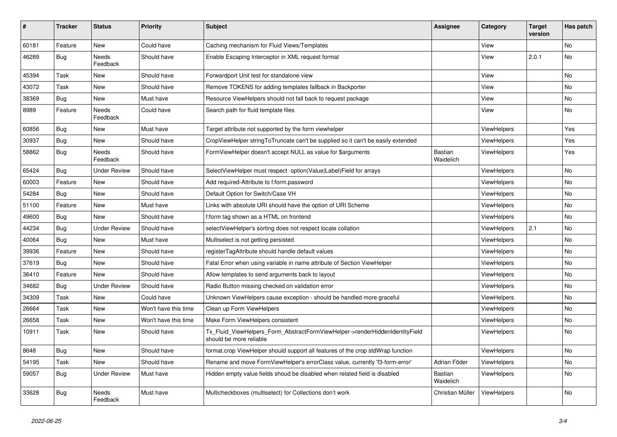| $\vert$ # | <b>Tracker</b> | <b>Status</b>       | <b>Priority</b>      | <b>Subject</b>                                                                                         | Assignee             | Category           | <b>Target</b><br>version | Has patch |
|-----------|----------------|---------------------|----------------------|--------------------------------------------------------------------------------------------------------|----------------------|--------------------|--------------------------|-----------|
| 60181     | Feature        | New                 | Could have           | Caching mechanism for Fluid Views/Templates                                                            |                      | View               |                          | <b>No</b> |
| 46289     | <b>Bug</b>     | Needs<br>Feedback   | Should have          | Enable Escaping Interceptor in XML request format                                                      |                      | View               | 2.0.1                    | <b>No</b> |
| 45394     | Task           | New                 | Should have          | Forwardport Unit test for standalone view                                                              |                      | View               |                          | No        |
| 43072     | Task           | New                 | Should have          | Remove TOKENS for adding templates fallback in Backporter                                              |                      | View               |                          | No        |
| 38369     | Bug            | New                 | Must have            | Resource ViewHelpers should not fall back to request package                                           |                      | View               |                          | No        |
| 8989      | Feature        | Needs<br>Feedback   | Could have           | Search path for fluid template files                                                                   |                      | View               |                          | No        |
| 60856     | Bug            | New                 | Must have            | Target attribute not supported by the form viewhelper                                                  |                      | ViewHelpers        |                          | Yes       |
| 30937     | Bug            | New                 | Should have          | CropViewHelper stringToTruncate can't be supplied so it can't be easily extended                       |                      | ViewHelpers        |                          | Yes       |
| 58862     | <b>Bug</b>     | Needs<br>Feedback   | Should have          | FormViewHelper doesn't accept NULL as value for \$arguments                                            | Bastian<br>Waidelich | ViewHelpers        |                          | Yes       |
| 65424     | <b>Bug</b>     | <b>Under Review</b> | Should have          | SelectViewHelper must respect option(Value Label)Field for arrays                                      |                      | ViewHelpers        |                          | No        |
| 60003     | Feature        | New                 | Should have          | Add required-Attribute to f:form.password                                                              |                      | ViewHelpers        |                          | <b>No</b> |
| 54284     | Bug            | <b>New</b>          | Should have          | Default Option for Switch/Case VH                                                                      |                      | <b>ViewHelpers</b> |                          | No        |
| 51100     | Feature        | New                 | Must have            | Links with absolute URI should have the option of URI Scheme                                           |                      | ViewHelpers        |                          | <b>No</b> |
| 49600     | Bug            | New                 | Should have          | f:form tag shown as a HTML on frontend                                                                 |                      | <b>ViewHelpers</b> |                          | No        |
| 44234     | Bug            | <b>Under Review</b> | Should have          | selectViewHelper's sorting does not respect locale collation                                           |                      | <b>ViewHelpers</b> | 2.1                      | <b>No</b> |
| 40064     | Bug            | <b>New</b>          | Must have            | Multiselect is not getting persisted                                                                   |                      | <b>ViewHelpers</b> |                          | <b>No</b> |
| 39936     | Feature        | New                 | Should have          | registerTagAttribute should handle default values                                                      |                      | <b>ViewHelpers</b> |                          | No        |
| 37619     | <b>Bug</b>     | New                 | Should have          | Fatal Error when using variable in name attribute of Section ViewHelper                                |                      | <b>ViewHelpers</b> |                          | No        |
| 36410     | Feature        | New                 | Should have          | Allow templates to send arguments back to layout                                                       |                      | ViewHelpers        |                          | No        |
| 34682     | Bug            | <b>Under Review</b> | Should have          | Radio Button missing checked on validation error                                                       |                      | ViewHelpers        |                          | No        |
| 34309     | Task           | New                 | Could have           | Unknown ViewHelpers cause exception - should be handled more graceful                                  |                      | ViewHelpers        |                          | No        |
| 26664     | Task           | New                 | Won't have this time | Clean up Form ViewHelpers                                                                              |                      | <b>ViewHelpers</b> |                          | No        |
| 26658     | Task           | New                 | Won't have this time | Make Form ViewHelpers consistent                                                                       |                      | ViewHelpers        |                          | No        |
| 10911     | Task           | New                 | Should have          | Tx_Fluid_ViewHelpers_Form_AbstractFormViewHelper->renderHiddenIdentityField<br>should be more reliable |                      | <b>ViewHelpers</b> |                          | <b>No</b> |
| 8648      | Bug            | <b>New</b>          | Should have          | format.crop ViewHelper should support all features of the crop stdWrap function                        |                      | <b>ViewHelpers</b> |                          | <b>No</b> |
| 54195     | Task           | New                 | Should have          | Rename and move FormViewHelper's errorClass value, currently 'f3-form-error'                           | Adrian Föder         | <b>ViewHelpers</b> |                          | <b>No</b> |
| 59057     | Bug            | Under Review        | Must have            | Hidden empty value fields shoud be disabled when related field is disabled                             | Bastian<br>Waidelich | <b>ViewHelpers</b> |                          | <b>No</b> |
| 33628     | Bug            | Needs<br>Feedback   | Must have            | Multicheckboxes (multiselect) for Collections don't work                                               | Christian Müller     | ViewHelpers        |                          | <b>No</b> |